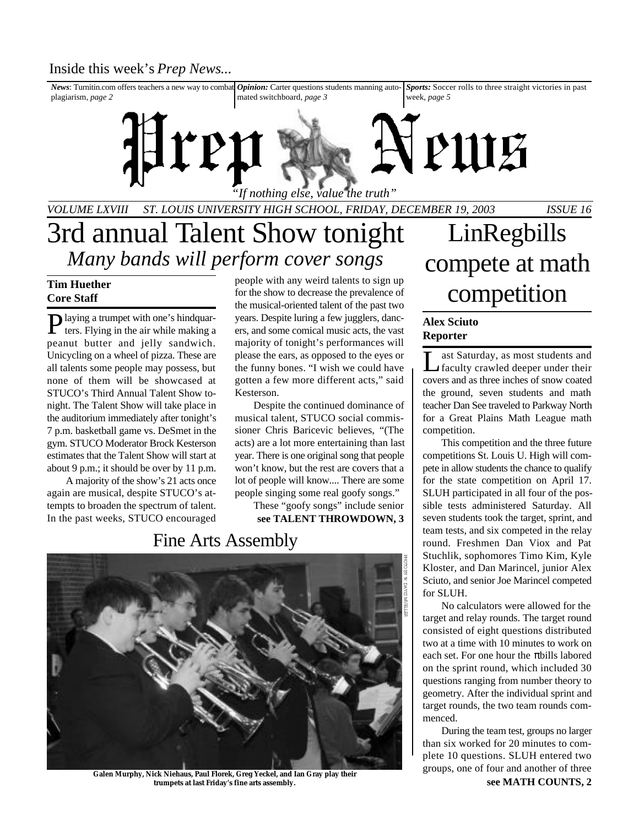*News*: Turnitin.com offers teachers a new way to combat *Opinion:* Carter questions students manning autoplagiarism, *page 2* mated switchboard, *page 3 Sports:* Soccer rolls to three straight victories in past week, *page 5*

*VOLUME LXVIII ST. LOUIS UNIVERSITY HIGH SCHOOL, FRIDAY, DECEMBER 19, 2003 ISSUE 16 "If nothing else, value the truth"*

## 3rd annual Talent Show tonight *Many bands will perform cover songs*

Prep

### **Tim Huether Core Staff**

Playing a trumpet with one's hindquar-<br>ters. Flying in the air while making a ters. Flying in the air while making a peanut butter and jelly sandwich. Unicycling on a wheel of pizza. These are all talents some people may possess, but none of them will be showcased at STUCO's Third Annual Talent Show tonight. The Talent Show will take place in the auditorium immediately after tonight's 7 p.m. basketball game vs. DeSmet in the gym. STUCO Moderator Brock Kesterson estimates that the Talent Show will start at about 9 p.m.; it should be over by 11 p.m.

A majority of the show's 21 acts once again are musical, despite STUCO's attempts to broaden the spectrum of talent. In the past weeks, STUCO encouraged people with any weird talents to sign up for the show to decrease the prevalence of the musical-oriented talent of the past two years. Despite luring a few jugglers, dancers, and some comical music acts, the vast majority of tonight's performances will please the ears, as opposed to the eyes or the funny bones. "I wish we could have gotten a few more different acts," said Kesterson.

Despite the continued dominance of musical talent, STUCO social commissioner Chris Baricevic believes, "(The acts) are a lot more entertaining than last year. There is one original song that people won't know, but the rest are covers that a lot of people will know.... There are some people singing some real goofy songs."

**see TALENT THROWDOWN, 3** These "goofy songs" include senior

## Fine Arts Assembly



**Galen Murphy, Nick Niehaus, Paul Florek, Greg Yeckel, and Ian Gray play their trumpets at last Friday's fine arts assembly.**

# LinRegbills compete at math competition

### **Alex Sciuto Reporter**

VPUUE

L ast Saturday, as most students and faculty crawled deeper under their covers and as three inches of snow coated the ground, seven students and math teacher Dan See traveled to Parkway North for a Great Plains Math League math competition.

This competition and the three future competitions St. Louis U. High will compete in allow students the chance to qualify for the state competition on April 17. SLUH participated in all four of the possible tests administered Saturday. All seven students took the target, sprint, and team tests, and six competed in the relay round. Freshmen Dan Viox and Pat Stuchlik, sophomores Timo Kim, Kyle Kloster, and Dan Marincel, junior Alex Sciuto, and senior Joe Marincel competed for SLUH.

No calculators were allowed for the target and relay rounds. The target round consisted of eight questions distributed two at a time with 10 minutes to work on each set. For one hour the bills labored on the sprint round, which included 30 questions ranging from number theory to geometry. After the individual sprint and target rounds, the two team rounds commenced.

**see MATH COUNTS, 2** During the team test, groups no larger than six worked for 20 minutes to complete 10 questions. SLUH entered two groups, one of four and another of three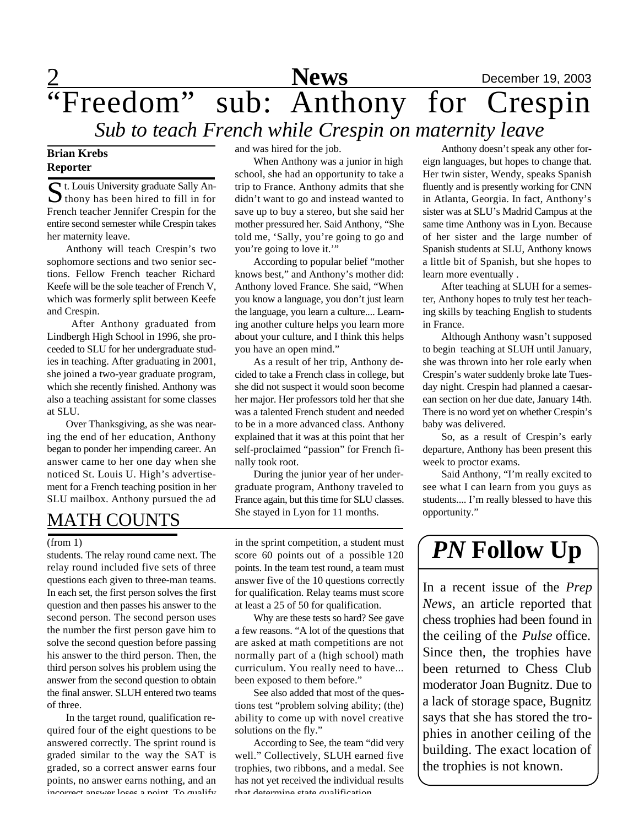## 2 **News** December 19, 2003 "Freedom" sub: Anthony for Crespin *Sub to teach French while Crespin on maternity leave*

### **Brian Krebs Reporter**

St. Louis University graduate Sally An-<br>thony has been hired to fill in for  $\bigcup$  thony has been hired to fill in for French teacher Jennifer Crespin for the entire second semester while Crespin takes her maternity leave.

Anthony will teach Crespin's two sophomore sections and two senior sections. Fellow French teacher Richard Keefe will be the sole teacher of French V, which was formerly split between Keefe and Crespin.

After Anthony graduated from Lindbergh High School in 1996, she proceeded to SLU for her undergraduate studies in teaching. After graduating in 2001, she joined a two-year graduate program, which she recently finished. Anthony was also a teaching assistant for some classes at SLU.

Over Thanksgiving, as she was nearing the end of her education, Anthony began to ponder her impending career. An answer came to her one day when she noticed St. Louis U. High's advertisement for a French teaching position in her SLU mailbox. Anthony pursued the ad and was hired for the job.

When Anthony was a junior in high school, she had an opportunity to take a trip to France. Anthony admits that she didn't want to go and instead wanted to save up to buy a stereo, but she said her mother pressured her. Said Anthony, "She told me, 'Sally, you're going to go and you're going to love it.'"

According to popular belief "mother knows best," and Anthony's mother did: Anthony loved France. She said, "When you know a language, you don't just learn the language, you learn a culture.... Learning another culture helps you learn more about your culture, and I think this helps you have an open mind."

As a result of her trip, Anthony decided to take a French class in college, but she did not suspect it would soon become her major. Her professors told her that she was a talented French student and needed to be in a more advanced class. Anthony explained that it was at this point that her self-proclaimed "passion" for French finally took root.

During the junior year of her undergraduate program, Anthony traveled to France again, but this time for SLU classes. She stayed in Lyon for 11 months.

MATH COUNTS

students. The relay round came next. The relay round included five sets of three questions each given to three-man teams. In each set, the first person solves the first question and then passes his answer to the second person. The second person uses the number the first person gave him to solve the second question before passing his answer to the third person. Then, the third person solves his problem using the answer from the second question to obtain the final answer. SLUH entered two teams of three.

In the target round, qualification required four of the eight questions to be answered correctly. The sprint round is graded similar to the way the SAT is graded, so a correct answer earns four points, no answer earns nothing, and an incorrect answer loses a point. To qualify

(from 1) in the sprint competition, a student must<br>students. The relay round came next. The score 60 points out of a possible 120  $\int PN \text{ Follow Up}$ in the sprint competition, a student must score 60 points out of a possible 120 points. In the team test round, a team must answer five of the 10 questions correctly for qualification. Relay teams must score at least a 25 of 50 for qualification.

> Why are these tests so hard? See gave a few reasons. "A lot of the questions that are asked at math competitions are not normally part of a (high school) math curriculum. You really need to have... been exposed to them before."

> See also added that most of the questions test "problem solving ability; (the) ability to come up with novel creative solutions on the fly."

> According to See, the team "did very well." Collectively, SLUH earned five trophies, two ribbons, and a medal. See has not yet received the individual results that determine state qualification

Anthony doesn't speak any other foreign languages, but hopes to change that. Her twin sister, Wendy, speaks Spanish fluently and is presently working for CNN in Atlanta, Georgia. In fact, Anthony's sister was at SLU's Madrid Campus at the same time Anthony was in Lyon. Because of her sister and the large number of Spanish students at SLU, Anthony knows a little bit of Spanish, but she hopes to learn more eventually .

After teaching at SLUH for a semester, Anthony hopes to truly test her teaching skills by teaching English to students in France.

Although Anthony wasn't supposed to begin teaching at SLUH until January, she was thrown into her role early when Crespin's water suddenly broke late Tuesday night. Crespin had planned a caesarean section on her due date, January 14th. There is no word yet on whether Crespin's baby was delivered.

So, as a result of Crespin's early departure, Anthony has been present this week to proctor exams.

Said Anthony, "I'm really excited to see what I can learn from you guys as students.... I'm really blessed to have this opportunity."

In a recent issue of the *Prep News*, an article reported that chess trophies had been found in the ceiling of the *Pulse* office. Since then, the trophies have been returned to Chess Club moderator Joan Bugnitz. Due to a lack of storage space, Bugnitz says that she has stored the trophies in another ceiling of the building. The exact location of the trophies is not known.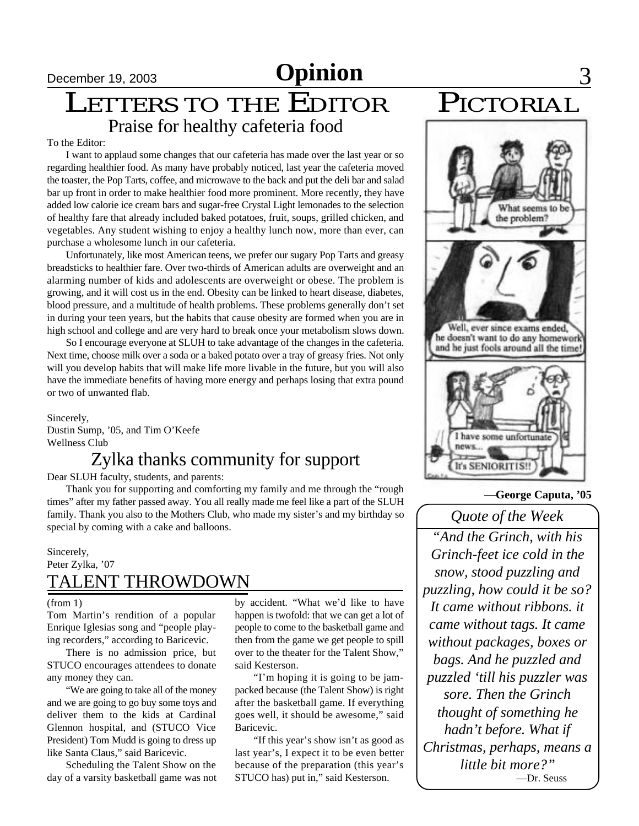# **December 19, 2003 Opinion**

## LETTERS TO THE EDITOR Praise for healthy cafeteria food

### To the Editor:

I want to applaud some changes that our cafeteria has made over the last year or so regarding healthier food. As many have probably noticed, last year the cafeteria moved the toaster, the Pop Tarts, coffee, and microwave to the back and put the deli bar and salad bar up front in order to make healthier food more prominent. More recently, they have added low calorie ice cream bars and sugar-free Crystal Light lemonades to the selection of healthy fare that already included baked potatoes, fruit, soups, grilled chicken, and vegetables. Any student wishing to enjoy a healthy lunch now, more than ever, can purchase a wholesome lunch in our cafeteria.

Unfortunately, like most American teens, we prefer our sugary Pop Tarts and greasy breadsticks to healthier fare. Over two-thirds of American adults are overweight and an alarming number of kids and adolescents are overweight or obese. The problem is growing, and it will cost us in the end. Obesity can be linked to heart disease, diabetes, blood pressure, and a multitude of health problems. These problems generally don't set in during your teen years, but the habits that cause obesity are formed when you are in high school and college and are very hard to break once your metabolism slows down.

So I encourage everyone at SLUH to take advantage of the changes in the cafeteria. Next time, choose milk over a soda or a baked potato over a tray of greasy fries. Not only will you develop habits that will make life more livable in the future, but you will also have the immediate benefits of having more energy and perhaps losing that extra pound or two of unwanted flab.

Sincerely, Dustin Sump, '05, and Tim O'Keefe Wellness Club

## Zylka thanks community for support

Dear SLUH faculty, students, and parents:

Thank you for supporting and comforting my family and me through the "rough times" after my father passed away. You all really made me feel like a part of the SLUH family. Thank you also to the Mothers Club, who made my sister's and my birthday so special by coming with a cake and balloons.

### Sincerely, Peter Zylka, '07 TALENT THROWDOWN

### (from 1)

Tom Martin's rendition of a popular Enrique Iglesias song and "people playing recorders," according to Baricevic.

There is no admission price, but STUCO encourages attendees to donate any money they can.

"We are going to take all of the money and we are going to go buy some toys and deliver them to the kids at Cardinal Glennon hospital, and (STUCO Vice President) Tom Mudd is going to dress up like Santa Claus," said Baricevic.

Scheduling the Talent Show on the day of a varsity basketball game was not

by accident. "What we'd like to have happen is twofold: that we can get a lot of people to come to the basketball game and then from the game we get people to spill over to the theater for the Talent Show," said Kesterson.

"I'm hoping it is going to be jampacked because (the Talent Show) is right after the basketball game. If everything goes well, it should be awesome," said Baricevic.

"If this year's show isn't as good as last year's, I expect it to be even better because of the preparation (this year's STUCO has) put in," said Kesterson.



What seems to the problem? Well, ever since exams ended, he doesn't want to do any homework and he just fools around all the time! I have some unfortunate news...

**—George Caputa, '05**

### *Quote of the Week*

**It's SENIORITIS!** 

*"And the Grinch, with his Grinch-feet ice cold in the snow, stood puzzling and puzzling, how could it be so? It came without ribbons. it came without tags. It came without packages, boxes or bags. And he puzzled and puzzled 'till his puzzler was sore. Then the Grinch thought of something he hadn't before. What if Christmas, perhaps, means a little bit more?"* —Dr. Seuss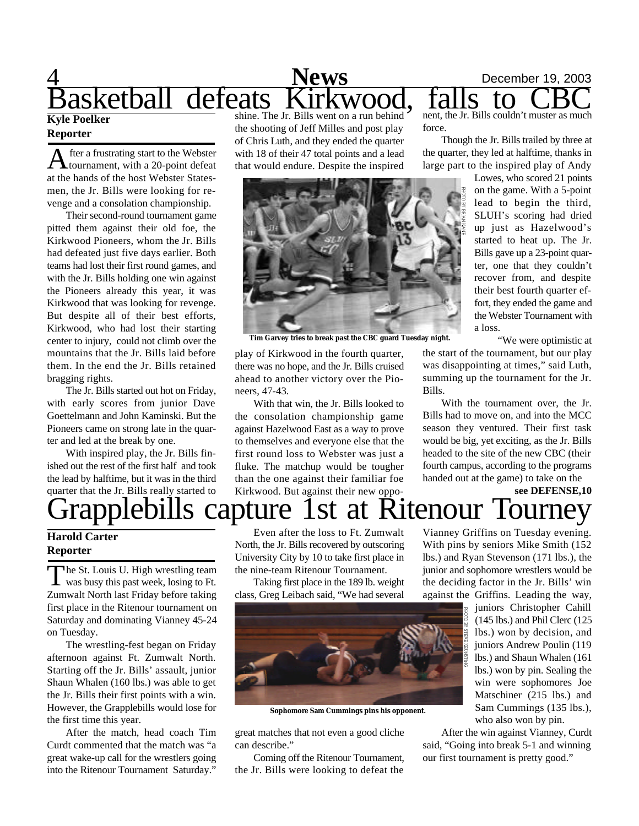### 4 **News** December 19, 2003 <u>News</u><br>Basketball defeats Kirkwood **Kyle Poelker** shine. The Jr. Bills went on a run behind nent, the Jr. Bills couldn't muster as much

### **Reporter**

A fter a frustrating start to the Webster<br>at the hands of the host Webster Statesfter a frustrating start to the Webster tournament, with a 20-point defeat men, the Jr. Bills were looking for revenge and a consolation championship.

Their second-round tournament game pitted them against their old foe, the Kirkwood Pioneers, whom the Jr. Bills had defeated just five days earlier. Both teams had lost their first round games, and with the Jr. Bills holding one win against the Pioneers already this year, it was Kirkwood that was looking for revenge. But despite all of their best efforts, Kirkwood, who had lost their starting center to injury, could not climb over the mountains that the Jr. Bills laid before them. In the end the Jr. Bills retained bragging rights.

The Jr. Bills started out hot on Friday, with early scores from junior Dave Goettelmann and John Kaminski. But the Pioneers came on strong late in the quarter and led at the break by one.

With inspired play, the Jr. Bills finished out the rest of the first half and took the lead by halftime, but it was in the third quarter that the Jr. Bills really started to

the shooting of Jeff Milles and post play of Chris Luth, and they ended the quarter with 18 of their 47 total points and a lead that would endure. Despite the inspired force.

Though the Jr. Bills trailed by three at the quarter, they led at halftime, thanks in large part to the inspired play of Andy

> Lowes, who scored 21 points on the game. With a 5-point lead to begin the third, SLUH's scoring had dried up just as Hazelwood's started to heat up. The Jr. Bills gave up a 23-point quarter, one that they couldn't recover from, and despite their best fourth quarter effort, they ended the game and the Webster Tournament with a loss.

> > "We were optimistic at

**Tim Garvey tries to break past the CBC guard Tuesday night.**

play of Kirkwood in the fourth quarter, there was no hope, and the Jr. Bills cruised ahead to another victory over the Pioneers, 47-43.

With that win, the Jr. Bills looked to the consolation championship game against Hazelwood East as a way to prove to themselves and everyone else that the first round loss to Webster was just a fluke. The matchup would be tougher than the one against their familiar foe Kirkwood. But against their new oppo-

the start of the tournament, but our play was disappointing at times," said Luth, summing up the tournament for the Jr. Bills.

With the tournament over, the Jr. Bills had to move on, and into the MCC season they ventured. Their first task would be big, yet exciting, as the Jr. Bills headed to the site of the new CBC (their fourth campus, according to the programs handed out at the game) to take on the

## **see DEFENSE,10** Kitenour

### **Harold Carter Reporter**

The St. Louis U. High wrestling team<br>was busy this past week, losing to Ft. he St. Louis U. High wrestling team Zumwalt North last Friday before taking first place in the Ritenour tournament on Saturday and dominating Vianney 45-24 on Tuesday.

The wrestling-fest began on Friday afternoon against Ft. Zumwalt North. Starting off the Jr. Bills' assault, junior Shaun Whalen (160 lbs.) was able to get the Jr. Bills their first points with a win. However, the Grapplebills would lose for the first time this year.

After the match, head coach Tim Curdt commented that the match was "a great wake-up call for the wrestlers going into the Ritenour Tournament Saturday."

Even after the loss to Ft. Zumwalt North, the Jr. Bills recovered by outscoring University City by 10 to take first place in the nine-team Ritenour Tournament.

Taking first place in the 189 lb. weight class, Greg Leibach said, "We had several



**Sophomore Sam Cummings pins his opponent.**

great matches that not even a good cliche can describe."

Coming off the Ritenour Tournament, the Jr. Bills were looking to defeat the

Vianney Griffins on Tuesday evening. With pins by seniors Mike Smith (152 lbs.) and Ryan Stevenson (171 lbs.), the junior and sophomore wrestlers would be the deciding factor in the Jr. Bills' win against the Griffins. Leading the way,

juniors Christopher Cahill (145 lbs.) and Phil Clerc (125 lbs.) won by decision, and juniors Andrew Poulin (119 lbs.) and Shaun Whalen (161 lbs.) won by pin. Sealing the win were sophomores Joe Matschiner (215 lbs.) and Sam Cummings (135 lbs.), who also won by pin.

After the win against Vianney, Curdt said, "Going into break 5-1 and winning our first tournament is pretty good."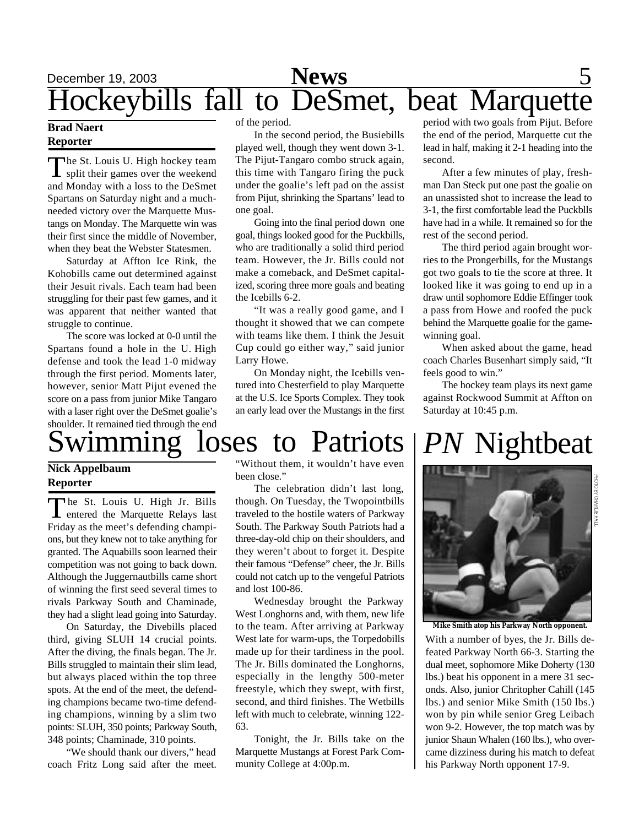# December 19, 2003 **News** 5 Hockeybills fall to DeSmet, beat Marquette

### **Brad Naert Reporter**

The St. Louis U. High hockey team<br>split their games over the weekend The St. Louis U. High hockey team and Monday with a loss to the DeSmet Spartans on Saturday night and a muchneeded victory over the Marquette Mustangs on Monday. The Marquette win was their first since the middle of November, when they beat the Webster Statesmen.

Saturday at Affton Ice Rink, the Kohobills came out determined against their Jesuit rivals. Each team had been struggling for their past few games, and it was apparent that neither wanted that struggle to continue.

The score was locked at 0-0 until the Spartans found a hole in the U. High defense and took the lead 1-0 midway through the first period. Moments later, however, senior Matt Pijut evened the score on a pass from junior Mike Tangaro with a laser right over the DeSmet goalie's shoulder. It remained tied through the end of the period.

In the second period, the Busiebills played well, though they went down 3-1. The Pijut-Tangaro combo struck again, this time with Tangaro firing the puck under the goalie's left pad on the assist from Pijut, shrinking the Spartans' lead to one goal.

Going into the final period down one goal, things looked good for the Puckbills, who are traditionally a solid third period team. However, the Jr. Bills could not make a comeback, and DeSmet capitalized, scoring three more goals and beating the Icebills 6-2.

"It was a really good game, and I thought it showed that we can compete with teams like them. I think the Jesuit Cup could go either way," said junior Larry Howe.

On Monday night, the Icebills ventured into Chesterfield to play Marquette at the U.S. Ice Sports Complex. They took an early lead over the Mustangs in the first period with two goals from Pijut. Before the end of the period, Marquette cut the lead in half, making it 2-1 heading into the second.

After a few minutes of play, freshman Dan Steck put one past the goalie on an unassisted shot to increase the lead to 3-1, the first comfortable lead the Puckblls have had in a while. It remained so for the rest of the second period.

The third period again brought worries to the Prongerbills, for the Mustangs got two goals to tie the score at three. It looked like it was going to end up in a draw until sophomore Eddie Effinger took a pass from Howe and roofed the puck behind the Marquette goalie for the gamewinning goal.

When asked about the game, head coach Charles Busenhart simply said, "It feels good to win."

The hockey team plays its next game against Rockwood Summit at Affton on Saturday at 10:45 p.m.

# mming loses to Patriots

### **Nick Appelbaum Reporter**

The St. Louis U. High Jr. Bills<br>
entered the Marquette Relays last he St. Louis U. High Jr. Bills Friday as the meet's defending champions, but they knew not to take anything for granted. The Aquabills soon learned their competition was not going to back down. Although the Juggernautbills came short of winning the first seed several times to rivals Parkway South and Chaminade, they had a slight lead going into Saturday.

On Saturday, the Divebills placed third, giving SLUH 14 crucial points. After the diving, the finals began. The Jr. Bills struggled to maintain their slim lead, but always placed within the top three spots. At the end of the meet, the defending champions became two-time defending champions, winning by a slim two points: SLUH, 350 points; Parkway South, 348 points; Chaminade, 310 points.

"We should thank our divers," head coach Fritz Long said after the meet.

"Without them, it wouldn't have even been close."

The celebration didn't last long, though. On Tuesday, the Twopointbills traveled to the hostile waters of Parkway South. The Parkway South Patriots had a three-day-old chip on their shoulders, and they weren't about to forget it. Despite their famous "Defense" cheer, the Jr. Bills could not catch up to the vengeful Patriots and lost 100-86.

Wednesday brought the Parkway West Longhorns and, with them, new life to the team. After arriving at Parkway West late for warm-ups, the Torpedobills made up for their tardiness in the pool. The Jr. Bills dominated the Longhorns, especially in the lengthy 500-meter freestyle, which they swept, with first, second, and third finishes. The Wetbills left with much to celebrate, winning 122- 63.

Tonight, the Jr. Bills take on the Marquette Mustangs at Forest Park Community College at 4:00p.m.

# *PN* Nightbeat



**Mike Smith atop his Parkway North opponent.**

With a number of byes, the Jr. Bills defeated Parkway North 66-3. Starting the dual meet, sophomore Mike Doherty (130 lbs.) beat his opponent in a mere 31 seconds. Also, junior Chritopher Cahill (145 lbs.) and senior Mike Smith (150 lbs.) won by pin while senior Greg Leibach won 9-2. However, the top match was by junior Shaun Whalen (160 lbs.), who overcame dizziness during his match to defeat his Parkway North opponent 17-9.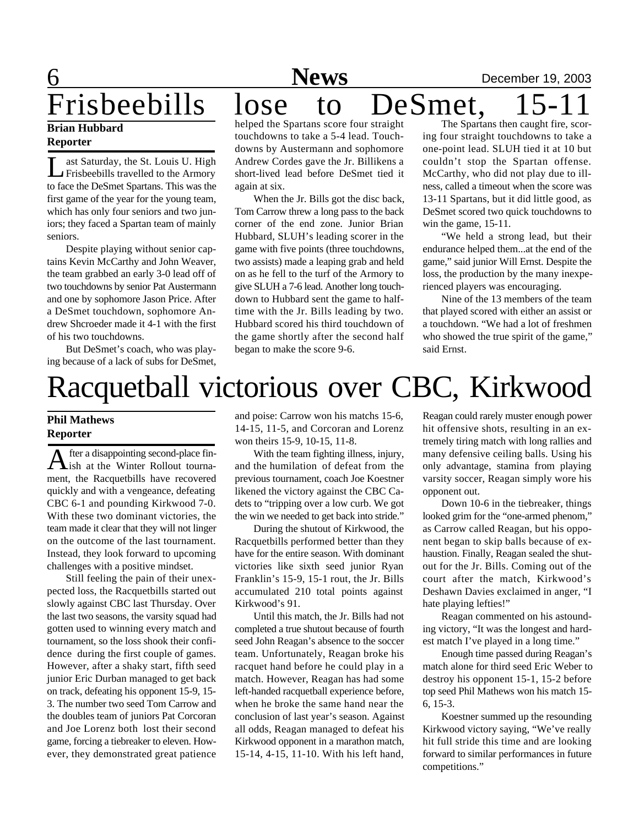6 **News** December 19, 2003

## Frisbeebills lose to DeSmet, 15-1 **Brian Hubbard**

## **Reporter**

L ast Saturday, the St. Louis U. High Frisbeebills travelled to the Armory to face the DeSmet Spartans. This was the first game of the year for the young team, which has only four seniors and two juniors; they faced a Spartan team of mainly seniors.

Despite playing without senior captains Kevin McCarthy and John Weaver, the team grabbed an early 3-0 lead off of two touchdowns by senior Pat Austermann and one by sophomore Jason Price. After a DeSmet touchdown, sophomore Andrew Shcroeder made it 4-1 with the first of his two touchdowns.

But DeSmet's coach, who was playing because of a lack of subs for DeSmet, helped the Spartans score four straight touchdowns to take a 5-4 lead. Touchdowns by Austermann and sophomore Andrew Cordes gave the Jr. Billikens a short-lived lead before DeSmet tied it again at six.

When the Jr. Bills got the disc back, Tom Carrow threw a long pass to the back corner of the end zone. Junior Brian Hubbard, SLUH's leading scorer in the game with five points (three touchdowns, two assists) made a leaping grab and held on as he fell to the turf of the Armory to give SLUH a 7-6 lead. Another long touchdown to Hubbard sent the game to halftime with the Jr. Bills leading by two. Hubbard scored his third touchdown of the game shortly after the second half began to make the score 9-6.

The Spartans then caught fire, scoring four straight touchdowns to take a one-point lead. SLUH tied it at 10 but couldn't stop the Spartan offense. McCarthy, who did not play due to illness, called a timeout when the score was 13-11 Spartans, but it did little good, as DeSmet scored two quick touchdowns to win the game, 15-11.

"We held a strong lead, but their endurance helped them...at the end of the game," said junior Will Ernst. Despite the loss, the production by the many inexperienced players was encouraging.

Nine of the 13 members of the team that played scored with either an assist or a touchdown. "We had a lot of freshmen who showed the true spirit of the game," said Ernst.

# Racquetball victorious over CBC, Kirkwood

### **Phil Mathews Reporter**

A fter a disappointing second-place fin-<br>A ish at the Winter Rollout tournafter a disappointing second-place finment, the Racquetbills have recovered quickly and with a vengeance, defeating CBC 6-1 and pounding Kirkwood 7-0. With these two dominant victories, the team made it clear that they will not linger on the outcome of the last tournament. Instead, they look forward to upcoming challenges with a positive mindset.

Still feeling the pain of their unexpected loss, the Racquetbills started out slowly against CBC last Thursday. Over the last two seasons, the varsity squad had gotten used to winning every match and tournament, so the loss shook their confidence during the first couple of games. However, after a shaky start, fifth seed junior Eric Durban managed to get back on track, defeating his opponent 15-9, 15- 3. The number two seed Tom Carrow and the doubles team of juniors Pat Corcoran and Joe Lorenz both lost their second game, forcing a tiebreaker to eleven. However, they demonstrated great patience and poise: Carrow won his matchs 15-6, 14-15, 11-5, and Corcoran and Lorenz won theirs 15-9, 10-15, 11-8.

With the team fighting illness, injury, and the humilation of defeat from the previous tournament, coach Joe Koestner likened the victory against the CBC Cadets to "tripping over a low curb. We got the win we needed to get back into stride."

During the shutout of Kirkwood, the Racquetbills performed better than they have for the entire season. With dominant victories like sixth seed junior Ryan Franklin's 15-9, 15-1 rout, the Jr. Bills accumulated 210 total points against Kirkwood's 91.

Until this match, the Jr. Bills had not completed a true shutout because of fourth seed John Reagan's absence to the soccer team. Unfortunately, Reagan broke his racquet hand before he could play in a match. However, Reagan has had some left-handed racquetball experience before, when he broke the same hand near the conclusion of last year's season. Against all odds, Reagan managed to defeat his Kirkwood opponent in a marathon match, 15-14, 4-15, 11-10. With his left hand,

Reagan could rarely muster enough power hit offensive shots, resulting in an extremely tiring match with long rallies and many defensive ceiling balls. Using his only advantage, stamina from playing varsity soccer, Reagan simply wore his opponent out.

Down 10-6 in the tiebreaker, things looked grim for the "one-armed phenom," as Carrow called Reagan, but his opponent began to skip balls because of exhaustion. Finally, Reagan sealed the shutout for the Jr. Bills. Coming out of the court after the match, Kirkwood's Deshawn Davies exclaimed in anger, "I hate playing lefties!"

Reagan commented on his astounding victory, "It was the longest and hardest match I've played in a long time."

Enough time passed during Reagan's match alone for third seed Eric Weber to destroy his opponent 15-1, 15-2 before top seed Phil Mathews won his match 15- 6, 15-3.

Koestner summed up the resounding Kirkwood victory saying, "We've really hit full stride this time and are looking forward to similar performances in future competitions."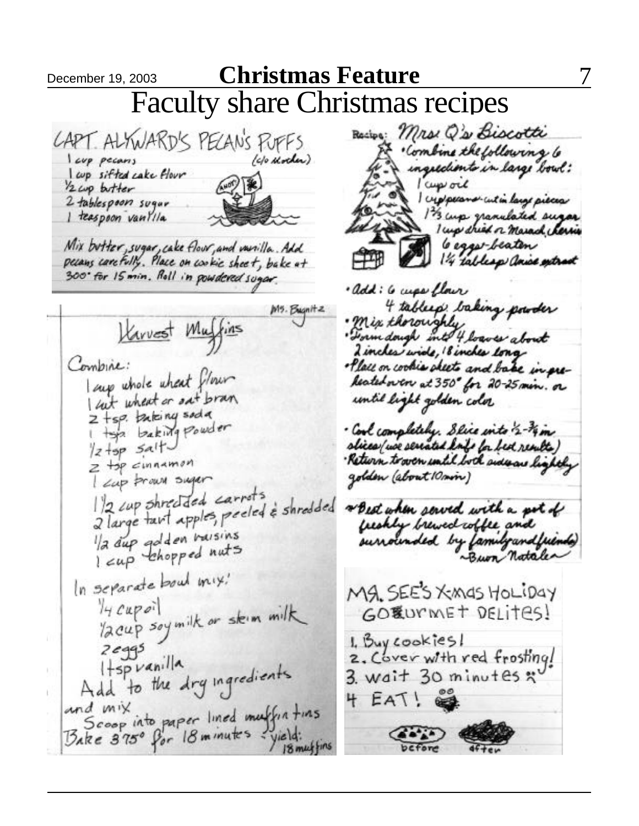December 19, 2003 **Christmas Feature** Faculty share Christmas recipesRecive: Mrs. Q's Biocotti CAPT. ALYWARD'S PECANS PUFFS Combine the following 6 (c/o Mother) I cup pecans ingredients in large bowl: l cup sifted cake flour l cup och  $12$  cup butter creppears cut in large pieces 2 tablespoon sugar 13 cup granulated sugar I teaspoon vantila I up this or marack cherries 6 eggs-beaten Mix butter, sugar, cake flowr, and varilla. Add pecans carefully. Place on cookie sheet, bake at 1/4 tablesp anice extract 300 for 15 min. Roll in powdered sugar. · add: 6 mps flow 4 tables taking powder  $M5.$  Bugnitz Harvest Muffins " Form dough into 4 loaves about 2 incles wide, 18 inches long Combine: . Place on cookies sheets and bake in pre-I amp whole wheat flow Realedoven at 350° for 20-25 min. or I cut wheat or set bran until light golden color  $2 + sp.$  taking soda I top baking powder · Cool completely. Slice into 2-14 m slices ( we serrated knf la bed results )  $\frac{1}{2} + sp \leq a + \frac{1}{2}$ · Return to over until both side are lightly  $z + p$  cinnamon I cap proun sugar golden (about 10 min)  $1/2$  cup shredded carrots 1/2 cup shreeded carrol à shredded<br>2 large tavt apples, peeled à shredded \* Best when served with a pot of freshly brewed coffee and la dup golden baisins surrounded by family and friends) In separate bowl mix. Mg. SEE'S XMAS HOLIDAY  $4c$ upoil 14 cupoil<br>12 cup soymilk or skim milk GORUMMET DELITES! 1. Buy cookies!  $2eg95$ 2. Cover with red frosting!  $H<sub>sp</sub>  $\nu$ anila$ Hisp vanilla<br>Add to the dry ingredients  $3.$  wait  $30$  minutes  $\ddot{x}$ 4 EAT! and mix<br>Scoop into paper lined muffin tins<br>Bake 375° for 18 minutes - yield: and mix